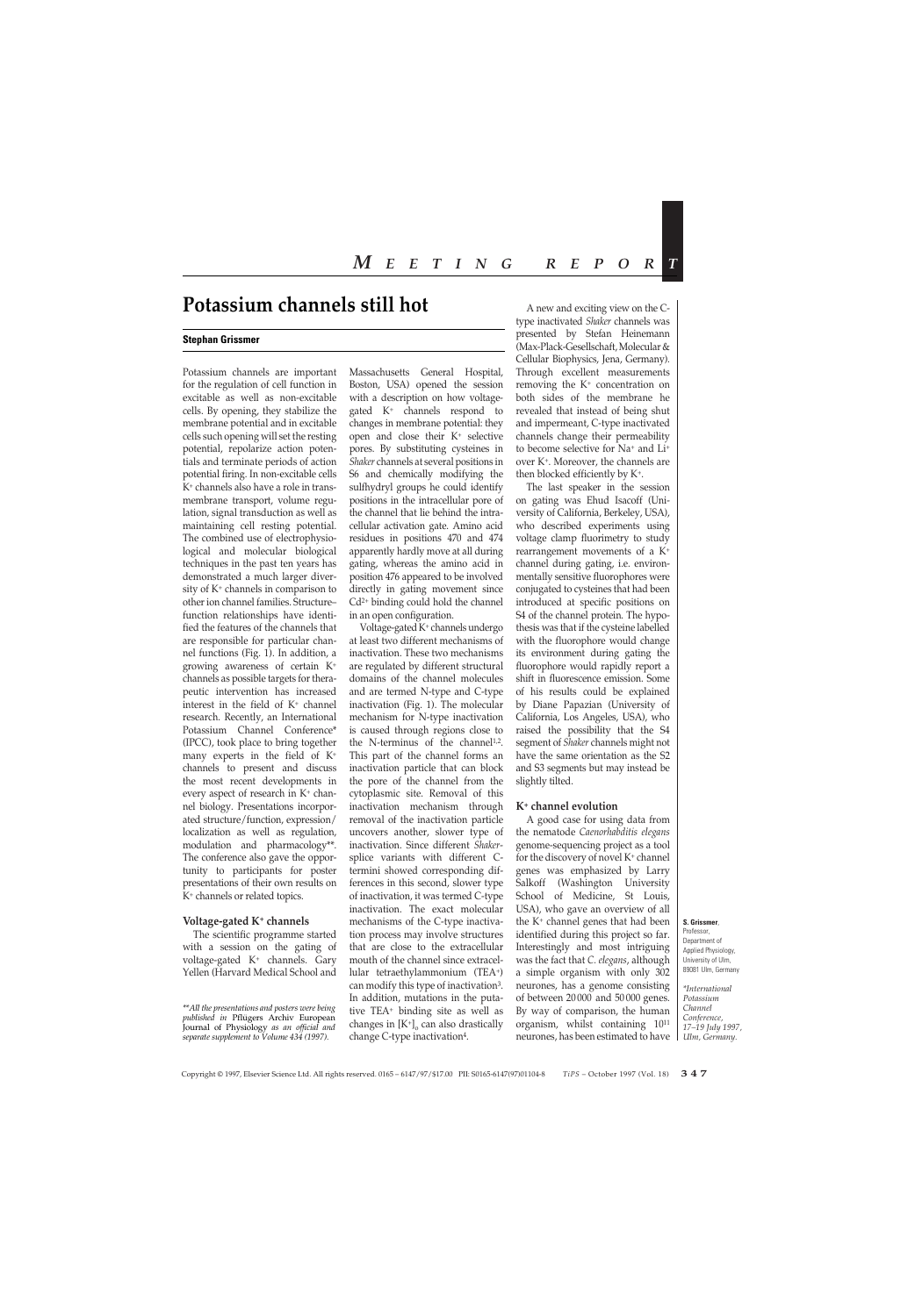# **Potassium channels still hot**

#### **Stephan Grissmer**

Potassium channels are important for the regulation of cell function in excitable as well as non-excitable cells. By opening, they stabilize the membrane potential and in excitable cells such opening will set the resting potential, repolarize action potentials and terminate periods of action potential firing. In non-excitable cells K+ channels also have a role in transmembrane transport, volume regulation, signal transduction as well as maintaining cell resting potential. The combined use of electrophysiological and molecular biological techniques in the past ten years has demonstrated a much larger diversity of K+ channels in comparison to other ion channel families. Structure– function relationships have identified the features of the channels that are responsible for particular channel functions (Fig. 1). In addition, a growing awareness of certain K+ channels as possible targets for therapeutic intervention has increased interest in the field of  $K^+$  channel research. Recently, an International Potassium Channel Conference\* (IPCC), took place to bring together many experts in the field of  $K^+$ channels to present and discuss the most recent developments in every aspect of research in  $K^+$  channel biology. Presentations incorporated structure/function, expression/ localization as well as regulation, modulation and pharmacology\*\*. The conference also gave the opportunity to participants for poster presentations of their own results on K+ channels or related topics.

#### **Voltage-gated K+ channels**

The scientific programme started with a session on the gating of voltage-gated K+ channels. Gary Yellen (Harvard Medical School and

Massachusetts General Hospital, Boston, USA) opened the session with a description on how voltagegated K+ channels respond to changes in membrane potential: they open and close their K+ selective pores. By substituting cysteines in *Shaker* channels at several positions in S6 and chemically modifying the sulfhydryl groups he could identify positions in the intracellular pore of the channel that lie behind the intracellular activation gate. Amino acid residues in positions 470 and 474 apparently hardly move at all during gating, whereas the amino acid in position 476 appeared to be involved directly in gating movement since  $Cd<sup>2+</sup> binding could hold the channel$ in an open configuration.

Voltage-gated K+ channels undergo at least two different mechanisms of inactivation. These two mechanisms are regulated by different structural domains of the channel molecules and are termed N-type and C-type inactivation (Fig. 1). The molecular mechanism for N-type inactivation is caused through regions close to the N-terminus of the channel<sup>1,2</sup>. This part of the channel forms an inactivation particle that can block the pore of the channel from the cytoplasmic site. Removal of this inactivation mechanism through removal of the inactivation particle uncovers another, slower type of inactivation. Since different *Shaker*splice variants with different Ctermini showed corresponding differences in this second, slower type of inactivation, it was termed C-type inactivation. The exact molecular mechanisms of the C-type inactivation process may involve structures that are close to the extracellular mouth of the channel since extracellular tetraethylammonium (TEA+) can modify this type of inactivation3. In addition, mutations in the putative TEA+ binding site as well as changes in  $[K^+]$ <sub>o</sub> can also drastically change C-type inactivation4.

A new and exciting view on the Ctype inactivated *Shaker* channels was presented by Stefan Heinemann (Max-Plack-Gesellschaft, Molecular & Cellular Biophysics, Jena, Germany). Through excellent measurements removing the K+ concentration on both sides of the membrane he revealed that instead of being shut and impermeant, C-type inactivated channels change their permeability to become selective for Na+ and Li+ over K+. Moreover, the channels are then blocked efficiently by K+.

The last speaker in the session on gating was Ehud Isacoff (University of California, Berkeley, USA), who described experiments using voltage clamp fluorimetry to study rearrangement movements of a K+ channel during gating, i.e. environmentally sensitive fluorophores were conjugated to cysteines that had been introduced at specific positions on S4 of the channel protein. The hypothesis was that if the cysteine labelled with the fluorophore would change its environment during gating the fluorophore would rapidly report a shift in fluorescence emission. Some of his results could be explained by Diane Papazian (University of California, Los Angeles, USA), who raised the possibility that the S4 segment of *Shaker* channels might not have the same orientation as the S2 and S3 segments but may instead be slightly tilted.

#### **K+ channel evolution**

A good case for using data from the nematode *Caenorhabditis elegans* genome-sequencing project as a tool for the discovery of novel  $K^+$  channel genes was emphasized by Larry Salkoff (Washington University School of Medicine, St Louis, USA), who gave an overview of all the K+ channel genes that had been identified during this project so far. Interestingly and most intriguing was the fact that *C. elegans*, although a simple organism with only 302 neurones, has a genome consisting of between 20 000 and 50 000 genes. By way of comparison, the human organism, whilst containing 1011 neurones, has been estimated to have

Professor, Department of Applied Physiology, University of Ulm, 89081 Ulm, Germany

*\*International Potassium Channel Conference, 17–19 July 1997, Ulm, Germany.*

*<sup>\*\*</sup>All the presentations and posters were being published in* Pflügers Archiv European Journal of Physiology *as an official and separate supplement to Volume 434 (1997).*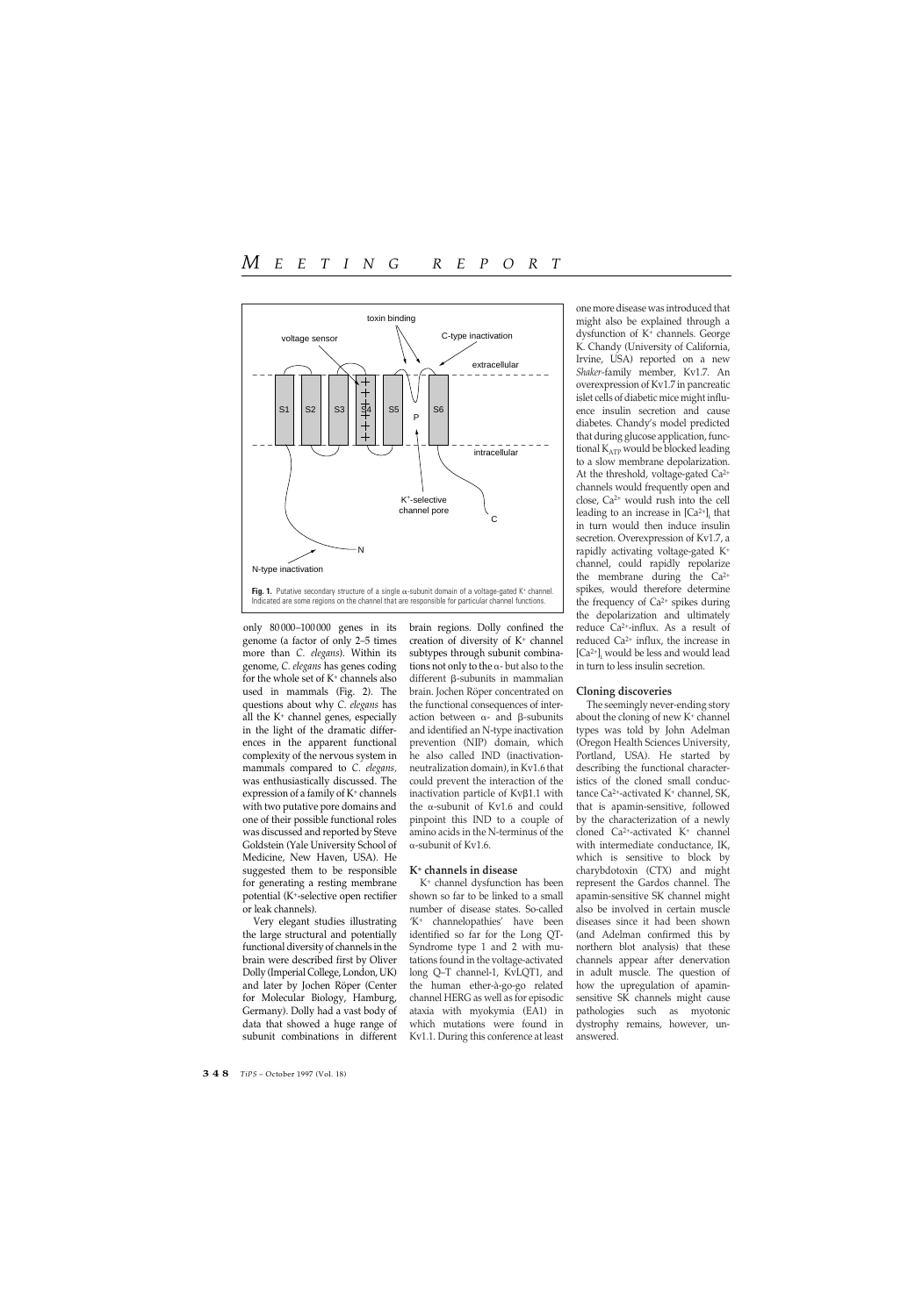

only 80 000–100 000 genes in its genome (a factor of only 2–5 times more than *C. elegans*). Within its genome, *C. elegans* has genes coding for the whole set of  $K^+$  channels also used in mammals (Fig. 2). The questions about why *C. elegans* has all the  $K^+$  channel genes, especially in the light of the dramatic differences in the apparent functional complexity of the nervous system in mammals compared to *C. elegans,* was enthusiastically discussed. The expression of a family of  $K^+$  channels with two putative pore domains and one of their possible functional roles was discussed and reported by Steve Goldstein (Yale University School of Medicine, New Haven, USA). He suggested them to be responsible for generating a resting membrane potential (K+-selective open rectifier or leak channels).

Very elegant studies illustrating the large structural and potentially functional diversity of channels in the brain were described first by Oliver Dolly (Imperial College, London, UK) and later by Jochen Röper (Center for Molecular Biology, Hamburg, Germany). Dolly had a vast body of data that showed a huge range of subunit combinations in different

brain regions. Dolly confined the creation of diversity of  $K^+$  channel subtypes through subunit combinations not only to the  $\alpha$ - but also to the different β-subunits in mammalian brain. Jochen Röper concentrated on the functional consequences of interaction between  $\alpha$ - and  $\beta$ -subunits and identified an N-type inactivation prevention (NIP) domain, which he also called IND (inactivationneutralization domain), in Kv1.6 that could prevent the interaction of the inactivation particle of  $Kv\beta1.1$  with the a-subunit of Kv1.6 and could pinpoint this IND to a couple of amino acids in the N-terminus of the  $\alpha$ -subunit of Kv1.6.

### **K+ channels in disease**

K+ channel dysfunction has been shown so far to be linked to a small number of disease states. So-called 'K+ channelopathies' have been identified so far for the Long QT-Syndrome type 1 and 2 with mutations found in the voltage-activated long Q–T channel-1, KvLQT1, and the human ether-à-go-go related channel HERG as well as for episodic ataxia with myokymia (EA1) in which mutations were found in Kv1.1. During this conference at least

one more disease was introduced that might also be explained through a dysfunction of K+ channels. George K. Chandy (University of California, Irvine, USA) reported on a new *Shaker*-family member, Kv1.7. An overexpression of Kv1.7 in pancreatic islet cells of diabetic mice might influence insulin secretion and cause diabetes. Chandy's model predicted that during glucose application, functional K<sub>ATP</sub> would be blocked leading to a slow membrane depolarization. At the threshold, voltage-gated Ca2+ channels would frequently open and close, Ca2+ would rush into the cell leading to an increase in  $[Ca^{2+}]$ ; that in turn would then induce insulin secretion. Overexpression of Kv1.7, a rapidly activating voltage-gated K+ channel, could rapidly repolarize the membrane during the  $Ca^{2+}$ spikes, would therefore determine the frequency of Ca<sup>2+</sup> spikes during the depolarization and ultimately reduce Ca2+-influx. As a result of reduced Ca2+ influx, the increase in  $[Ca<sup>2+</sup>]$ <sub>i</sub> would be less and would lead in turn to less insulin secretion.

# **Cloning discoveries**

The seemingly never-ending story about the cloning of new  $K^+$  channel types was told by John Adelman (Oregon Health Sciences University, Portland, USA). He started by describing the functional characteristics of the cloned small conductance Ca2+-activated K+ channel, SK, that is apamin-sensitive, followed by the characterization of a newly cloned Ca2+-activated K+ channel with intermediate conductance, IK, which is sensitive to block by charybdotoxin (CTX) and might represent the Gardos channel. The apamin-sensitive SK channel might also be involved in certain muscle diseases since it had been shown (and Adelman confirmed this by northern blot analysis) that these channels appear after denervation in adult muscle. The question of how the upregulation of apaminsensitive SK channels might cause pathologies such as myotonic dystrophy remains, however, unanswered.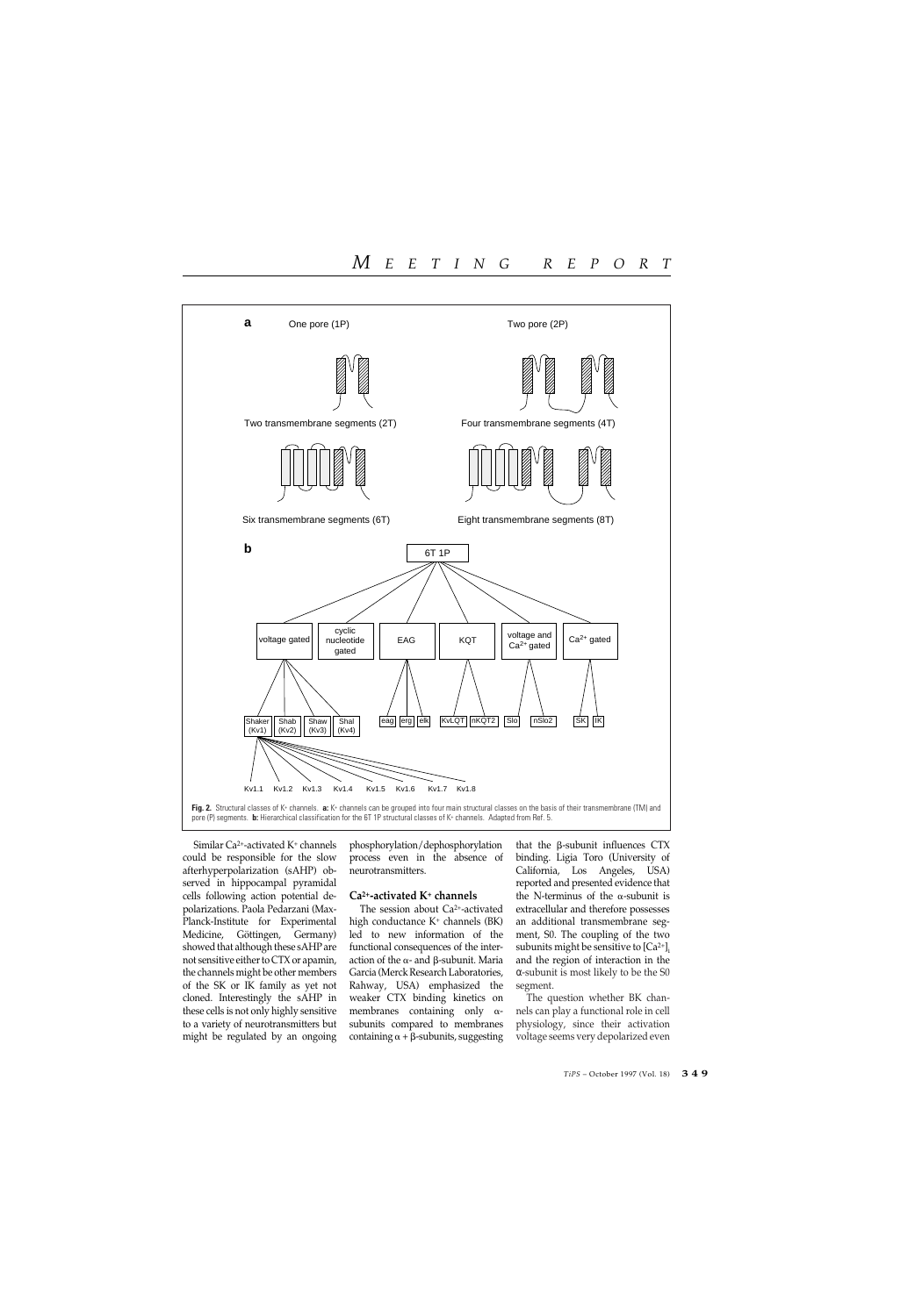

Similar Ca2+-activated K+ channels could be responsible for the slow afterhyperpolarization (sAHP) observed in hippocampal pyramidal cells following action potential depolarizations. Paola Pedarzani (Max-Planck-Institute for Experimental Medicine, Göttingen, Germany) showed that although these sAHP are not sensitive either to CTX or apamin, the channels might be other members of the SK or IK family as yet not cloned. Interestingly the sAHP in these cells is not only highly sensitive to a variety of neurotransmitters but might be regulated by an ongoing phosphorylation/dephosphorylation process even in the absence of neurotransmitters.

### **Ca2+-activated K+ channels**

The session about Ca2+-activated high conductance K<sup>+</sup> channels (BK) led to new information of the functional consequences of the interaction of the  $\alpha$ - and  $\beta$ -subunit. Maria Garcia (Merck Research Laboratories, Rahway, USA) emphasized the weaker CTX binding kinetics on membranes containing only  $\alpha$ subunits compared to membranes containing  $\alpha + \beta$ -subunits, suggesting

that the  $\beta$ -subunit influences CTX binding. Ligia Toro (University of California, Los Angeles, USA) reported and presented evidence that the N-terminus of the  $\alpha$ -subunit is extracellular and therefore possesses an additional transmembrane segment, S0. The coupling of the two subunits might be sensitive to  $\left[Ca^{2+}\right]_i$ and the region of interaction in the α-subunit is most likely to be the S0 segment.

The question whether BK channels can play a functional role in cell physiology, since their activation voltage seems very depolarized even